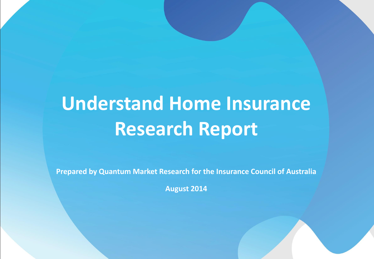## **Understand Home Insurance Research Report**

**Prepared by Quantum Market Research for the Insurance Council of Australia**

**August 2014**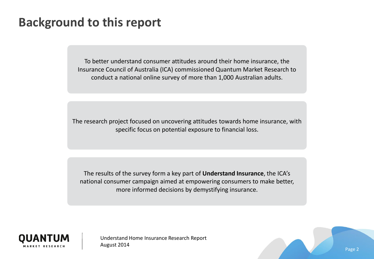#### **Background to this report**

To better understand consumer attitudes around their home insurance, the Insurance Council of Australia (ICA) commissioned Quantum Market Research to conduct a national online survey of more than 1,000 Australian adults.

The research project focused on uncovering attitudes towards home insurance, with specific focus on potential exposure to financial loss.

The results of the survey form a key part of **Understand Insurance**, the ICA's national consumer campaign aimed at empowering consumers to make better, more informed decisions by demystifying insurance.



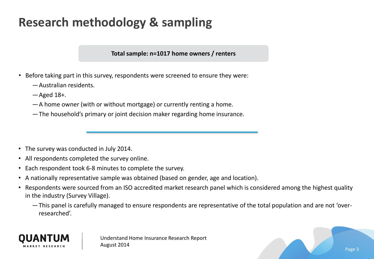### **Research methodology & sampling**

**Total sample: n=1017 home owners / renters**

- Before taking part in this survey, respondents were screened to ensure they were:
	- ―Australian residents.
	- ―Aged 18+.
	- ―A home owner (with or without mortgage) or currently renting a home.
	- ―The household's primary or joint decision maker regarding home insurance.

- The survey was conducted in July 2014.
- All respondents completed the survey online.
- Each respondent took 6-8 minutes to complete the survey.
- A nationally representative sample was obtained (based on gender, age and location).
- Respondents were sourced from an ISO accredited market research panel which is considered among the highest quality in the industry (Survey Village).
	- ―This panel is carefully managed to ensure respondents are representative of the total population and are not 'overresearched'.

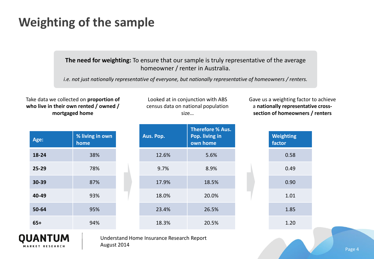#### **Weighting of the sample**

**The need for weighting:** To ensure that our sample is truly representative of the average homeowner / renter in Australia.

*i.e. not just nationally representative of everyone, but nationally representative of homeowners / renters.*

Take data we collected on **proportion of who live in their own rented / owned / mortgaged home**

| Age:  | % living in own<br>home |
|-------|-------------------------|
| 18-24 | 38%                     |
| 25-29 | 78%                     |
| 30-39 | 87%                     |
| 40-49 | 93%                     |
| 50-64 | 95%                     |
| $65+$ | 94%                     |

Looked at in conjunction with ABS census data on national population size…

| Aus. Pop. | <b>Therefore % Aus.</b><br>Pop. living in<br>own home |  |
|-----------|-------------------------------------------------------|--|
| 12.6%     | 5.6%                                                  |  |
| 9.7%      | 8.9%                                                  |  |
| 17.9%     | 18.5%                                                 |  |
| 18.0%     | 20.0%                                                 |  |
| 23.4%     | 26.5%                                                 |  |
| 18.3%     | 20.5%                                                 |  |

Gave us a weighting factor to achieve a **nationally representative crosssection of homeowners / renters**

| factor | <b>Weighting</b> |
|--------|------------------|
|        | 0.58             |
|        | 0.49             |
|        | 0.90             |
|        | 1.01             |
|        | 1.85             |
|        | 1.20             |
|        |                  |

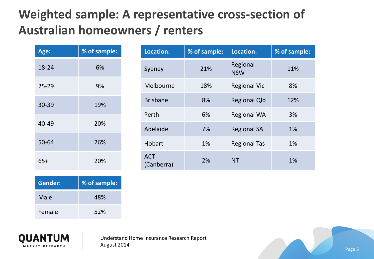### **Weighted sample: A representative cross-section of Australian homeowners / renters**

| Age:      | % of sample: |
|-----------|--------------|
| 18-24     | 6%           |
| $25 - 29$ | 9%           |
| 30-39     | 19%          |
| 40-49     | 20%          |
| 50-64     | 26%          |
| $65+$     | 20%          |

| Location:                | % of sample: | Location:              | % of sample: |  |
|--------------------------|--------------|------------------------|--------------|--|
| Sydney                   | 21%          | Regional<br><b>NSW</b> | 11%          |  |
| Melbourne                | 18%          | <b>Regional Vic</b>    | 8%           |  |
| <b>Brisbane</b>          | 8%           | <b>Regional Qld</b>    | 12%          |  |
| Perth                    | 6%           | <b>Regional WA</b>     | 3%           |  |
| Adelaide                 | 7%           | <b>Regional SA</b>     | 1%           |  |
| Hobart                   | 1%           | <b>Regional Tas</b>    | 1%           |  |
| <b>ACT</b><br>(Canberra) | 2%           | <b>NT</b>              | 1%           |  |

| Gender: | % of sample: |
|---------|--------------|
| Male    | 48%          |
| Female  | 52%          |



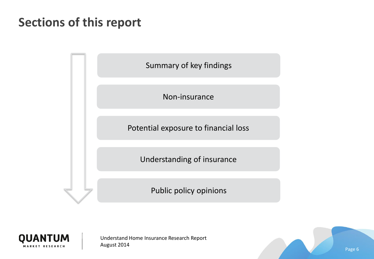#### **Sections of this report**





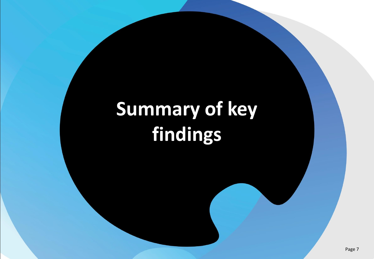# **Summary of key findings**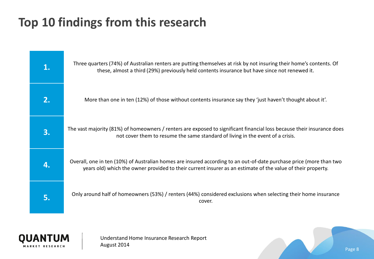### **Top 10 findings from this research**





Understand Home Insurance Research Report August 2014

Page 8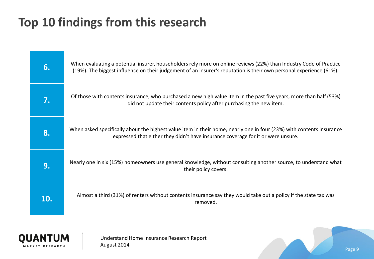### **Top 10 findings from this research**



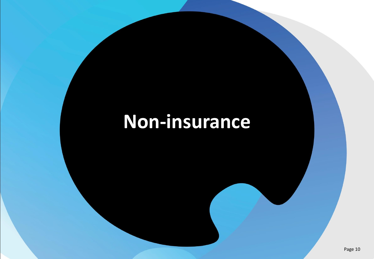## **Non-insurance**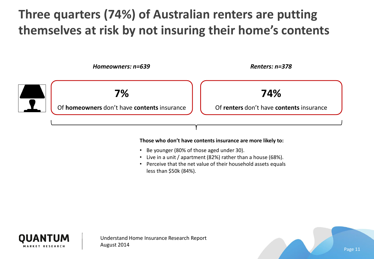### **Three quarters (74%) of Australian renters are putting themselves at risk by not insuring their home's contents**



#### **Those who don't have contents insurance are more likely to:**

- Be younger (80% of those aged under 30).
- Live in a unit / apartment (82%) rather than a house (68%).
- Perceive that the net value of their household assets equals less than \$50k (84%).



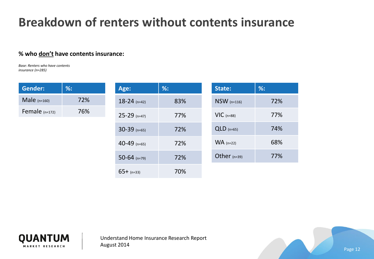#### **Breakdown of renters without contents insurance**

#### **% who don't have contents insurance:**

*Base: Renters who have contents insurance (n=285)*

| <b>Gender:</b>          | $%$ : | Age:           | $%$ : | State:         | $\%$ : |
|-------------------------|-------|----------------|-------|----------------|--------|
| Male $(n=160)$          | 72%   | $18-24$ (n=42) | 83%   | $NSW$ (n=116)  | 72%    |
| 76%<br>Female $(n=172)$ |       | $25-29$ (n=47) | 77%   | $VIC$ (n=88)   | 77%    |
|                         |       | $30-39$ (n=65) | 72%   | $QLD$ (n=65)   | 74%    |
|                         |       | 40-49 $(n=65)$ | 72%   | $WA$ (n=22)    | 68%    |
|                         |       | $50-64$ (n=79) | 72%   | Other $(n=39)$ | 77%    |
|                         |       | $65+$ (n=33)   | 70%   |                |        |



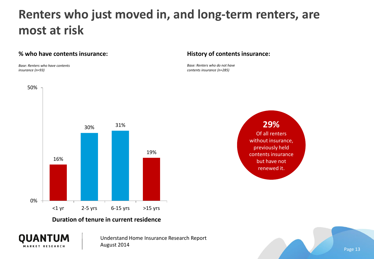#### **Renters who just moved in, and long-term renters, are most at risk**

#### **% who have contents insurance:**

*Base: Renters who have contents insurance (n=93)*

#### **History of contents insurance:**

*Base: Renters who do not have contents insurance (n=285)*



#### **Duration of tenure in current residence**



Understand Home Insurance Research Report August 2014



Page 13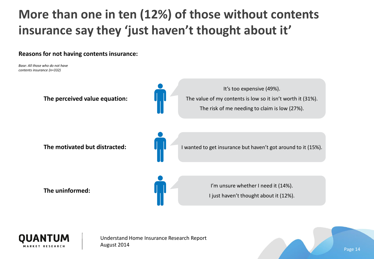### **More than one in ten (12%) of those without contents insurance say they 'just haven't thought about it'**

**Reasons for not having contents insurance:**

*Base: All those who do not have contents insurance (n=332)*



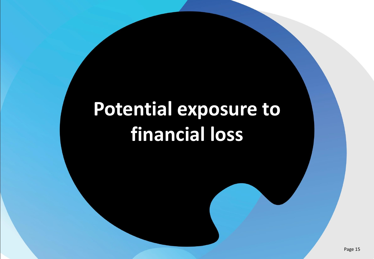## **Potential exposure to financial loss**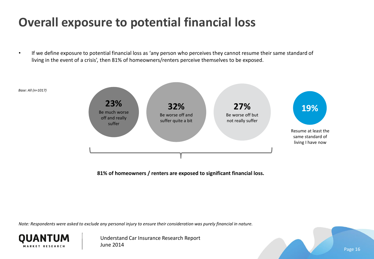#### **Overall exposure to potential financial loss**

If we define exposure to potential financial loss as 'any person who perceives they cannot resume their same standard of living in the event of a crisis', then 81% of homeowners/renters perceive themselves to be exposed.



**81% of homeowners / renters are exposed to significant financial loss.**

*Note: Respondents were asked to exclude any personal injury to ensure their consideration was purely financial in nature.*



Understand Car Insurance Research Report June 2014

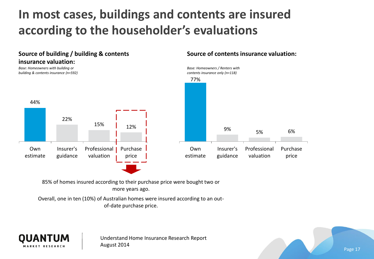### **In most cases, buildings and contents are insured according to the householder's evaluations**



**Source of contents insurance valuation:**

85% of homes insured according to their purchase price were bought two or more years ago.

Overall, one in ten (10%) of Australian homes were insured according to an outof-date purchase price.



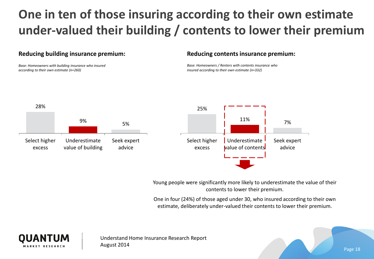## **One in ten of those insuring according to their own estimate under-valued their building / contents to lower their premium**

#### **Reducing building insurance premium:**

*Base: Homeowners with building insurance who insured according to their own estimate (n=260)*

#### **Reducing contents insurance premium:**

*Base: Homeowners / Renters with contents insurance who insured according to their own estimate (n=332)*



Young people were significantly more likely to underestimate the value of their contents to lower their premium.

One in four (24%) of those aged under 30, who insured according to their own estimate, deliberately under-valued their contents to lower their premium.



Understand Home Insurance Research Report August 2014

Page 18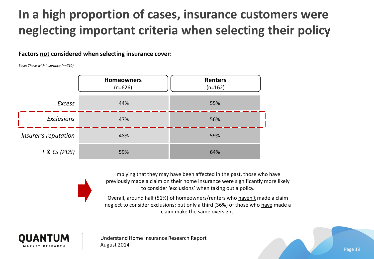### **In a high proportion of cases, insurance customers were neglecting important criteria when selecting their policy**

#### **Factors not considered when selecting insurance cover:**

*Base: Those with insurance (n=710)*



Implying that they may have been affected in the past, those who have previously made a claim on their home insurance were significantly more likely to consider 'exclusions' when taking out a policy.

Overall, around half (51%) of homeowners/renters who haven't made a claim neglect to consider exclusions; but only a third (36%) of those who have made a claim make the same oversight.



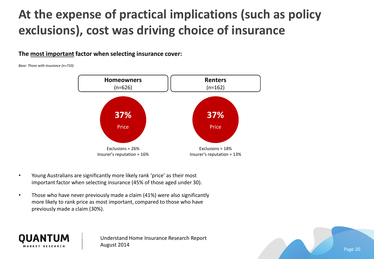### **At the expense of practical implications (such as policy exclusions), cost was driving choice of insurance**

**The most important factor when selecting insurance cover:**

*Base: Those with insurance (n=710)*



- Young Australians are significantly more likely rank 'price' as their most important factor when selecting insurance (45% of those aged under 30).
- Those who have never previously made a claim (41%) were also significantly more likely to rank price as most important, compared to those who have previously made a claim (30%).



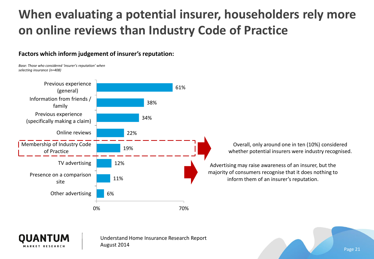### **When evaluating a potential insurer, householders rely more on online reviews than Industry Code of Practice**

#### **Factors which inform judgement of insurer's reputation:**

*Base: Those who considered 'insurer's reputation' when selecting insurance (n=408)*





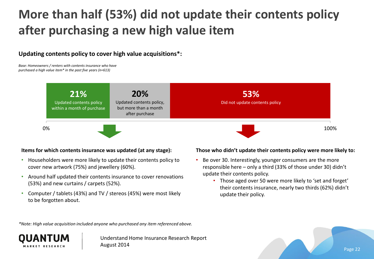### **More than half (53%) did not update their contents policy after purchasing a new high value item**

**Updating contents policy to cover high value acquisitions\*:**

*Base: Homeowners / renters with contents insurance who have purchased a high value item\* in the past five years (n=613)*



#### **Items for which contents insurance was updated (at any stage):**

- Householders were more likely to update their contents policy to cover new artwork (75%) and jewellery (60%).
- Around half updated their contents insurance to cover renovations (53%) and new curtains / carpets (52%).
- Computer / tablets (43%) and TV / stereos (45%) were most likely to be forgotten about.

#### **Those who didn't update their contents policy were more likely to:**

- Be over 30. Interestingly, younger consumers are the more responsible here – only a third (33% of those under 30) didn't update their contents policy.
	- Those aged over 50 were more likely to 'set and forget' their contents insurance, nearly two thirds (62%) didn't update their policy.

*\*Note: High value acquisition included anyone who purchased any item referenced above.*



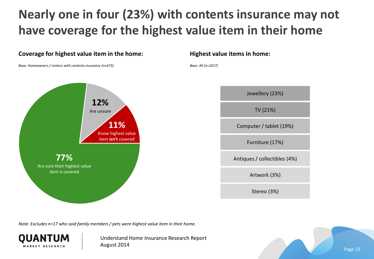### **Nearly one in four (23%) with contents insurance may not have coverage for the highest value item in their home**



*Note: Excludes n=17 who said family members / pets were highest value item in their home.*



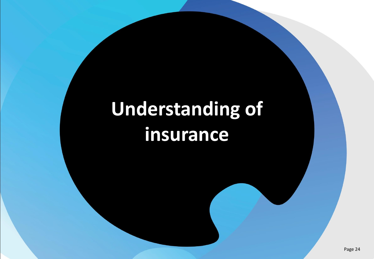## **Understanding of insurance**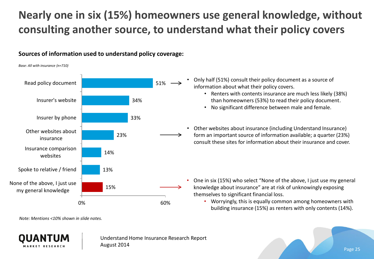#### **Nearly one in six (15%) homeowners use general knowledge, without consulting another source, to understand what their policy covers**

#### **Sources of information used to understand policy coverage:**

*Base: All with insurance (n=710)*



- Only half (51%) consult their policy document as a source of information about what their policy covers.
	- Renters with contents insurance are much less likely (38%) than homeowners (53%) to read their policy document.
	- No significant difference between male and female.
- Other websites about insurance (including Understand Insurance) form an important source of information available; a quarter (23%) consult these sites for information about their insurance and cover.

- One in six (15%) who select "None of the above, I just use my general knowledge about insurance" are at risk of unknowingly exposing themselves to significant financial loss.
	- Worryingly, this is equally common among homeowners with building insurance (15%) as renters with only contents (14%).

*Note: Mentions <10% shown in slide notes.*



Understand Home Insurance Research Report August 2014

Page 25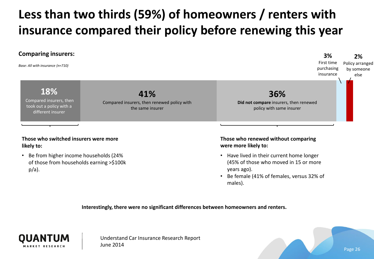## **Less than two thirds (59%) of homeowners / renters with insurance compared their policy before renewing this year**



• Be female (41% of females, versus 32% of males).

Page 26

**Interestingly, there were no significant differences between homeowners and renters.**



Understand Car Insurance Research Report June 2014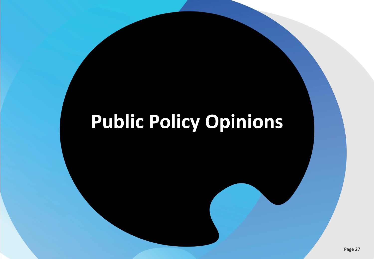## **Public Policy Opinions**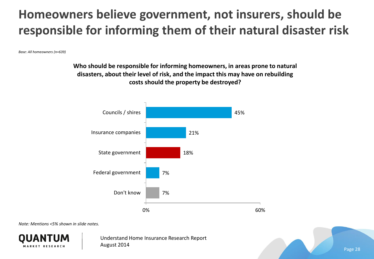### **Homeowners believe government, not insurers, should be responsible for informing them of their natural disaster risk**

*Base: All homeowners (n=639)*

**Who should be responsible for informing homeowners, in areas prone to natural disasters, about their level of risk, and the impact this may have on rebuilding costs should the property be destroyed?**



*Note: Mentions <5% shown in slide notes.*



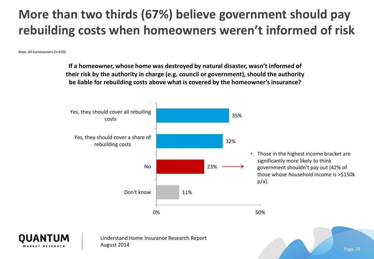### **More than two thirds (67%) believe government should pay rebuilding costs when homeowners weren't informed of risk**

*Base: All homeowners (n=639)*

**If a homeowner, whose home was destroyed by natural disaster, wasn't informed of their risk by the authority in charge (e.g. council or government), should the authority be liable for rebuilding costs above what is covered by the homeowner's insurance?**



Page 29

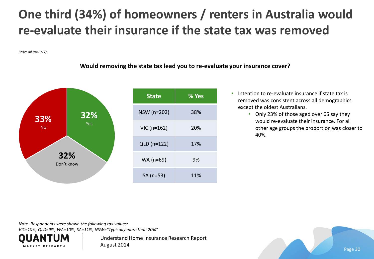### **One third (34%) of homeowners / renters in Australia would re-evaluate their insurance if the state tax was removed**

*Base: All (n=1017)*

#### **Would removing the state tax lead you to re-evaluate your insurance cover?**



- Intention to re-evaluate insurance if state tax is removed was consistent across all demographics except the oldest Australians.
	- Only 23% of those aged over 65 say they would re-evaluate their insurance. For all other age groups the proportion was closer to 40%.

*Note: Respondents were shown the following tax values:*

*VIC=10%, QLD=9%, WA=10%, SA=11%, NSW="Typically more than 20%"*



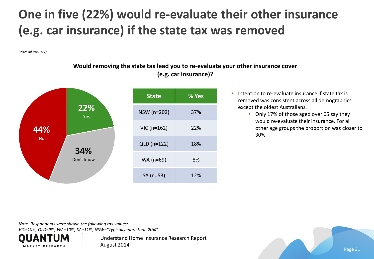### **One in five (22%) would re-evaluate their other insurance (e.g. car insurance) if the state tax was removed**

*Base: All (n=1017)*

#### **Would removing the state tax lead you to re-evaluate your other insurance cover (e.g. car insurance)?**



- Intention to re-evaluate insurance if state tax is removed was consistent across all demographics except the oldest Australians.
	- Only 17% of those aged over 65 say they would re-evaluate their insurance. For all other age groups the proportion was closer to 30%.

*Note: Respondents were shown the following tax values:*

*VIC=10%, QLD=9%, WA=10%, SA=11%, NSW="Typically more than 20%"*